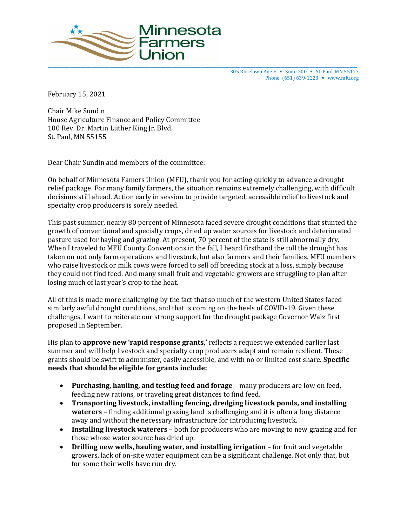

305 Roselawn Ave E ■ Suite 200 ■ St. Paul, MN 55117 Phone: (651) 639-1223 ■ www.mfu.org

February 15, 2021

Chair Mike Sundin House Agriculture Finance and Policy Committee 100 Rev. Dr. Martin Luther King Jr. Blvd. St. Paul, MN 55155

Dear Chair Sundin and members of the committee:

On behalf of Minnesota Famers Union (MFU), thank you for acting quickly to advance a drought relief package. For many family farmers, the situation remains extremely challenging, with difficult decisions still ahead. Action early in session to provide targeted, accessible relief to livestock and specialty crop producers is sorely needed.

This past summer, nearly 80 percent of Minnesota faced severe drought conditions that stunted the growth of conventional and specialty crops, dried up water sources for livestock and deteriorated pasture used for haying and grazing. At present, 70 percent of the state is still abnormally dry. When I traveled to MFU County Conventions in the fall, I heard firsthand the toll the drought has taken on not only farm operations and livestock, but also farmers and their families. MFU members who raise livestock or milk cows were forced to sell off breeding stock at a loss, simply because they could not find feed. And many small fruit and vegetable growers are struggling to plan after losing much of last year's crop to the heat.

All of this is made more challenging by the fact that so much of the western United States faced similarly awful drought conditions, and that is coming on the heels of COVID-19. Given these challenges, I want to reiterate our strong support for the drought package Governor Walz first proposed in September.

His plan to **approve new 'rapid response grants,'** reflects a request we extended earlier last summer and will help livestock and specialty crop producers adapt and remain resilient. These grants should be swift to administer, easily accessible, and with no or limited cost share. **Specific needs that should be eligible for grants include:** 

- **Purchasing, hauling, and testing feed and forage** many producers are low on feed, feeding new rations, or traveling great distances to find feed.
- **Transporting livestock, installing fencing, dredging livestock ponds, and installing waterers** – finding additional grazing land is challenging and it is often a long distance away and without the necessary infrastructure for introducing livestock.
- **Installing livestock waterers** both for producers who are moving to new grazing and for those whose water source has dried up.
- **Drilling new wells, hauling water, and installing irrigation** for fruit and vegetable growers, lack of on-site water equipment can be a significant challenge. Not only that, but for some their wells have run dry.